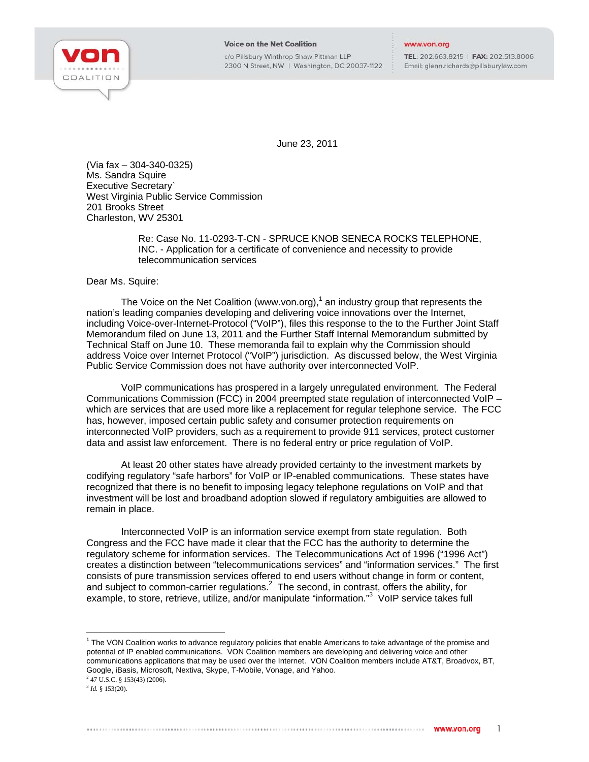

c/o Pillsbury Winthrop Shaw Pittman LLP 2300 N Street, NW | Washington, DC 20037-1122

TEL: 202.663.8215 | FAX: 202.513.8006 Email: glenn.richards@pillsburylaw.com

June 23, 2011

(Via fax – 304-340-0325) Ms. Sandra Squire Executive Secretary` West Virginia Public Service Commission 201 Brooks Street Charleston, WV 25301

> Re: Case No. 11-0293-T-CN - SPRUCE KNOB SENECA ROCKS TELEPHONE, INC. - Application for a certificate of convenience and necessity to provide telecommunication services

## Dear Ms. Squire:

The Voice on the Net Coalition (www.von.org),<sup>1</sup> an industry group that represents the nation's leading companies developing and delivering voice innovations over the Internet, including Voice-over-Internet-Protocol ("VoIP"), files this response to the to the Further Joint Staff Memorandum filed on June 13, 2011 and the Further Staff Internal Memorandum submitted by Technical Staff on June 10. These memoranda fail to explain why the Commission should address Voice over Internet Protocol ("VoIP") jurisdiction. As discussed below, the West Virginia Public Service Commission does not have authority over interconnected VoIP.

VoIP communications has prospered in a largely unregulated environment. The Federal Communications Commission (FCC) in 2004 preempted state regulation of interconnected VoIP – which are services that are used more like a replacement for regular telephone service. The FCC has, however, imposed certain public safety and consumer protection requirements on interconnected VoIP providers, such as a requirement to provide 911 services, protect customer data and assist law enforcement. There is no federal entry or price regulation of VoIP.

At least 20 other states have already provided certainty to the investment markets by codifying regulatory "safe harbors" for VoIP or IP-enabled communications. These states have recognized that there is no benefit to imposing legacy telephone regulations on VoIP and that investment will be lost and broadband adoption slowed if regulatory ambiguities are allowed to remain in place.

Interconnected VoIP is an information service exempt from state regulation. Both Congress and the FCC have made it clear that the FCC has the authority to determine the regulatory scheme for information services. The Telecommunications Act of 1996 ("1996 Act") creates a distinction between "telecommunications services" and "information services." The first consists of pure transmission services offered to end users without change in form or content, and subject to common-carrier regulations. $^2$  The second, in contrast, offers the ability, for example, to store, retrieve, utilize, and/or manipulate "information."<sup>3</sup> VoIP service takes full

2 47 U.S.C. § 153(43) (2006). <sup>3</sup> *Id.* § 153(20).

j

<sup>&</sup>lt;sup>1</sup> The VON Coalition works to advance regulatory policies that enable Americans to take advantage of the promise and potential of IP enabled communications. VON Coalition members are developing and delivering voice and other communications applications that may be used over the Internet. VON Coalition members include AT&T, Broadvox, BT, Google, iBasis, Microsoft, Nextiva, Skype, T-Mobile, Vonage, and Yahoo.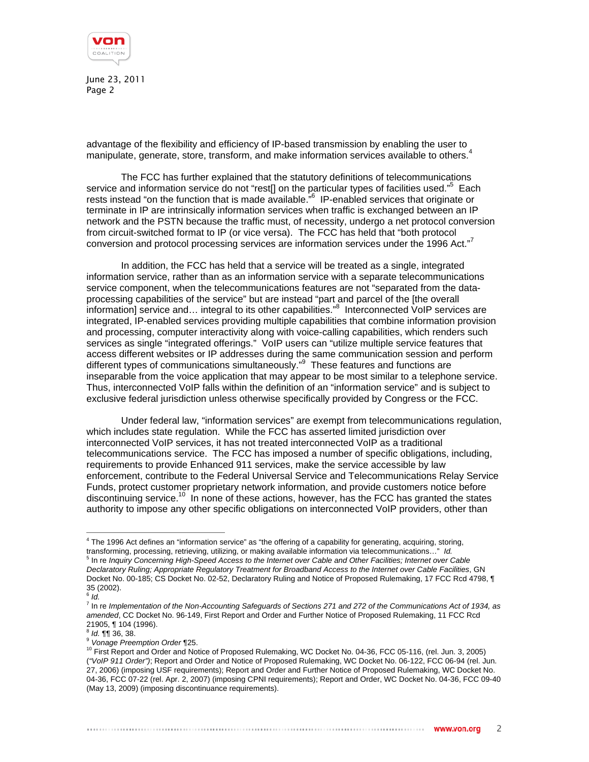

June 23, 2011 Page 2

advantage of the flexibility and efficiency of IP-based transmission by enabling the user to manipulate, generate, store, transform, and make information services available to others.<sup>4</sup>

The FCC has further explained that the statutory definitions of telecommunications service and information service do not "rest[] on the particular types of facilities used."<sup>5</sup> Each rests instead "on the function that is made available."<sup>6</sup> IP-enabled services that originate or terminate in IP are intrinsically information services when traffic is exchanged between an IP network and the PSTN because the traffic must, of necessity, undergo a net protocol conversion from circuit-switched format to IP (or vice versa). The FCC has held that "both protocol conversion and protocol processing services are information services under the 1996 Act."<sup>7</sup>

In addition, the FCC has held that a service will be treated as a single, integrated information service, rather than as an information service with a separate telecommunications service component, when the telecommunications features are not "separated from the dataprocessing capabilities of the service" but are instead "part and parcel of the [the overall information] service and... integral to its other capabilities."<sup>8</sup> Interconnected VoIP services are integrated, IP-enabled services providing multiple capabilities that combine information provision and processing, computer interactivity along with voice-calling capabilities, which renders such services as single "integrated offerings." VoIP users can "utilize multiple service features that access different websites or IP addresses during the same communication session and perform different types of communications simultaneously."<sup>9</sup> These features and functions are inseparable from the voice application that may appear to be most similar to a telephone service. Thus, interconnected VoIP falls within the definition of an "information service" and is subject to exclusive federal jurisdiction unless otherwise specifically provided by Congress or the FCC.

Under federal law, "information services" are exempt from telecommunications regulation, which includes state regulation. While the FCC has asserted limited jurisdiction over interconnected VoIP services, it has not treated interconnected VoIP as a traditional telecommunications service. The FCC has imposed a number of specific obligations, including, requirements to provide Enhanced 911 services, make the service accessible by law enforcement, contribute to the Federal Universal Service and Telecommunications Relay Service Funds, protect customer proprietary network information, and provide customers notice before discontinuing service.<sup>10</sup> In none of these actions, however, has the FCC has granted the states authority to impose any other specific obligations on interconnected VoIP providers, other than

 4 The 1996 Act defines an "information service" as "the offering of a capability for generating, acquiring, storing, transforming, processing, retrieving, utilizing, or making available information via telecommunications…" *Id.* <sup>5</sup> <sup>5</sup> In re *Inquiry Concerning High-Speed Access to the Internet over Cable and Other Facilities; Internet over Cable Declaratory Ruling; Appropriate Regulatory Treatment for Broadband Access to the Internet over Cable Facilities*, GN Docket No. 00-185; CS Docket No. 02-52, Declaratory Ruling and Notice of Proposed Rulemaking, 17 FCC Rcd 4798, ¶ 35 (2002). <sup>6</sup> *Id.*

<sup>7</sup> In re *Implementation of the Non-Accounting Safeguards of Sections 271 and 272 of the Communications Act of 1934, as amended*, CC Docket No. 96-149, First Report and Order and Further Notice of Proposed Rulemaking, 11 FCC Rcd 21905, ¶ 104 (1996).

<sup>&</sup>lt;sup>8</sup> *Id.* ¶¶ 36, 38.<br><sup>9</sup> Vonage Preemption Order ¶25.

<sup>&</sup>lt;sup>10</sup> First Report and Order and Notice of Proposed Rulemaking, WC Docket No. 04-36, FCC 05-116, (rel. Jun. 3, 2005) (*"VoIP 911 Order")*; Report and Order and Notice of Proposed Rulemaking, WC Docket No. 06-122, FCC 06-94 (rel. Jun. 27, 2006) (imposing USF requirements); Report and Order and Further Notice of Proposed Rulemaking, WC Docket No. 04-36, FCC 07-22 (rel. Apr. 2, 2007) (imposing CPNI requirements); Report and Order, WC Docket No. 04-36, FCC 09-40 (May 13, 2009) (imposing discontinuance requirements).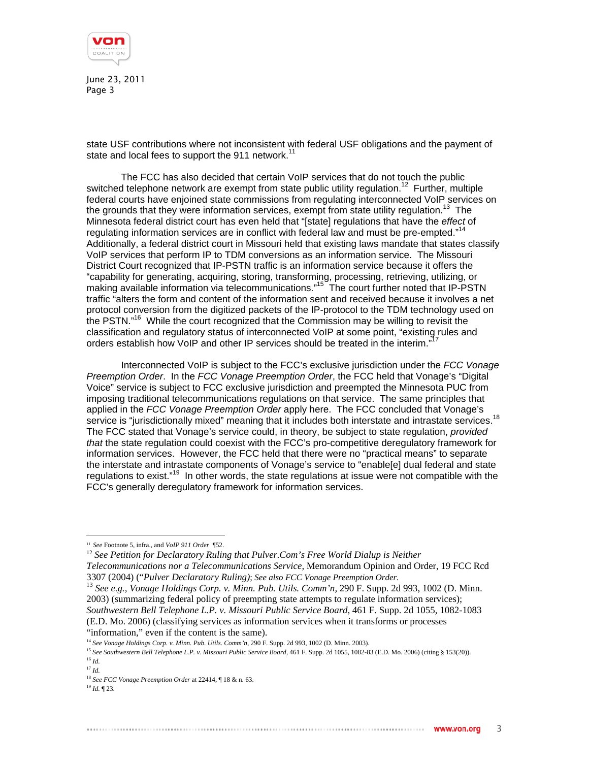

June 23, 2011 Page 3

state USF contributions where not inconsistent with federal USF obligations and the payment of state and local fees to support the 911 network.<sup>11</sup>

The FCC has also decided that certain VoIP services that do not touch the public switched telephone network are exempt from state public utility regulation.<sup>12</sup> Further, multiple federal courts have enjoined state commissions from regulating interconnected VoIP services on the grounds that they were information services, exempt from state utility regulation.<sup>13</sup> The Minnesota federal district court has even held that "[state] regulations that have the *effect* of regulating information services are in conflict with federal law and must be pre-empted."<sup>1</sup> Additionally, a federal district court in Missouri held that existing laws mandate that states classify VoIP services that perform IP to TDM conversions as an information service. The Missouri District Court recognized that IP-PSTN traffic is an information service because it offers the "capability for generating, acquiring, storing, transforming, processing, retrieving, utilizing, or making available information via telecommunications."<sup>15</sup> The court further noted that IP-PSTN traffic "alters the form and content of the information sent and received because it involves a net protocol conversion from the digitized packets of the IP-protocol to the TDM technology used on the PSTN."<sup>16</sup> While the court recognized that the Commission may be willing to revisit the classification and regulatory status of interconnected VoIP at some point, "existing rules and orders establish how VoIP and other IP services should be treated in the interim."

Interconnected VoIP is subject to the FCC's exclusive jurisdiction under the *FCC Vonage Preemption Order*. In the *FCC Vonage Preemption Order*, the FCC held that Vonage's "Digital Voice" service is subject to FCC exclusive jurisdiction and preempted the Minnesota PUC from imposing traditional telecommunications regulations on that service. The same principles that applied in the *FCC Vonage Preemption Order* apply here. The FCC concluded that Vonage's service is "jurisdictionally mixed" meaning that it includes both interstate and intrastate services.<sup>18</sup> The FCC stated that Vonage's service could, in theory, be subject to state regulation, *provided that* the state regulation could coexist with the FCC's pro-competitive deregulatory framework for information services. However, the FCC held that there were no "practical means" to separate the interstate and intrastate components of Vonage's service to "enable[e] dual federal and state regulations to exist."<sup>19</sup> In other words, the state regulations at issue were not compatible with the FCC's generally deregulatory framework for information services.

<sup>12</sup> See Petition for Declaratory Ruling that Pulver.Com's Free World Dialup is Neither *Telecommunications nor a Telecommunications Service,* Memorandum Opinion and Order, 19 FCC Rcd

3307 (2004) ("*Pulver Declaratory Ruling)*; *See also FCC Vonage Preemption Order*. <sup>13</sup> *See e.g., Vonage Holdings Corp. v. Minn. Pub. Utils. Comm'n,* 290 F. Supp. 2d 993, 1002 (D. Minn. 2003) (summarizing federal policy of preempting state attempts to regulate information services); *Southwestern Bell Telephone L.P. v. Missouri Public Service Board,* 461 F. Supp. 2d 1055, 1082-1083 (E.D. Mo. 2006) (classifying services as information services when it transforms or processes

j

<sup>11</sup> *See* Footnote 5, infra., and *VoIP 911 Order* ¶52.

<sup>&</sup>quot;information," even if the content is the same).<br> $14$  See Vonage Holdings Corp. v. Minn. Pub. Utils. Comm'n, 290 F. Supp. 2d 993, 1002 (D. Minn. 2003).

<sup>&</sup>lt;sup>15</sup> See Southwestern Bell Telephone L.P. v. Missouri Public Service Board, 461 F. Supp. 2d 1055, 1082-83 (E.D. Mo. 2006) (citing § 153(20)).<br><sup>16</sup> Id. <sup>17</sup> *Id.*

<sup>18</sup> *See FCC Vonage Preemption Order* at 22414, ¶ 18 & n. 63. 19 *Id.* ¶ 23.